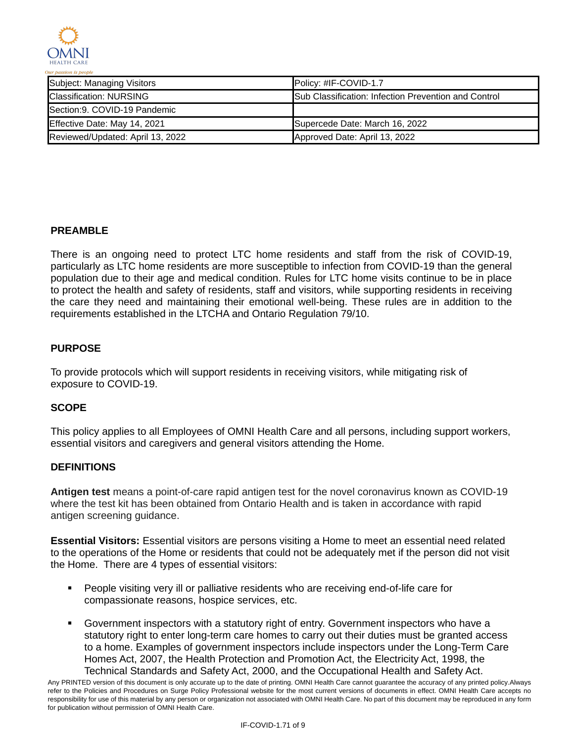

| Subject: Managing Visitors       | $IPolicy: #IF-COVID-1.7$                                     |
|----------------------------------|--------------------------------------------------------------|
| <b>Classification: NURSING</b>   | <b>ISub Classification: Infection Prevention and Control</b> |
| Section: 9. COVID-19 Pandemic    |                                                              |
| Effective Date: May 14, 2021     | Supercede Date: March 16, 2022                               |
| Reviewed/Updated: April 13, 2022 | Approved Date: April 13, 2022                                |

## **PREAMBLE**

There is an ongoing need to protect LTC home residents and staff from the risk of COVID-19, particularly as LTC home residents are more susceptible to infection from COVID-19 than the general population due to their age and medical condition. Rules for LTC home visits continue to be in place to protect the health and safety of residents, staff and visitors, while supporting residents in receiving the care they need and maintaining their emotional well-being. These rules are in addition to the requirements established in the LTCHA and Ontario Regulation 79/10.

## **PURPOSE**

To provide protocols which will support residents in receiving visitors, while mitigating risk of exposure to COVID-19.

### **SCOPE**

This policy applies to all Employees of OMNI Health Care and all persons, including support workers, essential visitors and caregivers and general visitors attending the Home.

### **DEFINITIONS**

**Antigen test** means a point-of-care rapid antigen test for the novel coronavirus known as COVID-19 where the test kit has been obtained from Ontario Health and is taken in accordance with rapid antigen screening guidance.

**Essential Visitors:** Essential visitors are persons visiting a Home to meet an essential need related to the operations of the Home or residents that could not be adequately met if the person did not visit the Home. There are 4 types of essential visitors:

- **People visiting very ill or palliative residents who are receiving end-of-life care for** compassionate reasons, hospice services, etc.
- Government inspectors with a statutory right of entry. Government inspectors who have a statutory right to enter long-term care homes to carry out their duties must be granted access to a home. Examples of government inspectors include inspectors under the Long-Term Care Homes Act, 2007, the Health Protection and Promotion Act, the Electricity Act, 1998, the Technical Standards and Safety Act, 2000, and the Occupational Health and Safety Act.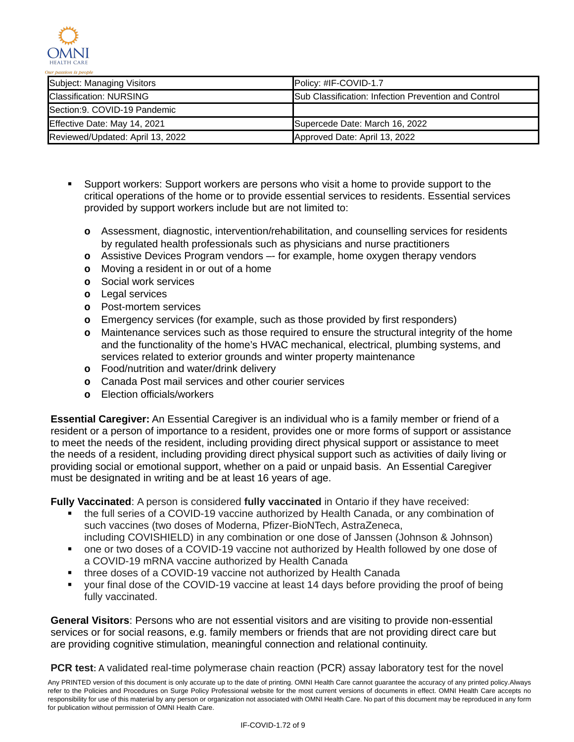

| Subject: Managing Visitors       | <b>IPolicy: #IF-COVID-1.7</b>                                |
|----------------------------------|--------------------------------------------------------------|
| <b>Classification: NURSING</b>   | <b>ISub Classification: Infection Prevention and Control</b> |
| Section: 9. COVID-19 Pandemic    |                                                              |
| Effective Date: May 14, 2021     | Supercede Date: March 16, 2022                               |
| Reviewed/Updated: April 13, 2022 | Approved Date: April 13, 2022                                |

- Support workers: Support workers are persons who visit a home to provide support to the critical operations of the home or to provide essential services to residents. Essential services provided by support workers include but are not limited to:
	- **o** Assessment, diagnostic, intervention/rehabilitation, and counselling services for residents by regulated health professionals such as physicians and nurse practitioners
	- **o** Assistive Devices Program vendors –- for example, home oxygen therapy vendors
	- **o** Moving a resident in or out of a home
	- **o** Social work services
	- **o** Legal services
	- **o** Post-mortem services
	- **o** Emergency services (for example, such as those provided by first responders)
	- **o** Maintenance services such as those required to ensure the structural integrity of the home and the functionality of the home's HVAC mechanical, electrical, plumbing systems, and services related to exterior grounds and winter property maintenance
	- **o** Food/nutrition and water/drink delivery
	- **o** Canada Post mail services and other courier services
	- **o** Election officials/workers

**Essential Caregiver:** An Essential Caregiver is an individual who is a family member or friend of a resident or a person of importance to a resident, provides one or more forms of support or assistance to meet the needs of the resident, including providing direct physical support or assistance to meet the needs of a resident, including providing direct physical support such as activities of daily living or providing social or emotional support, whether on a paid or unpaid basis. An Essential Caregiver must be designated in writing and be at least 16 years of age.

**Fully Vaccinated**: A person is considered **fully vaccinated** in Ontario if they have received:

- the full series of a COVID-19 vaccine authorized by Health Canada, or any combination of such vaccines (two doses of Moderna, Pfizer-BioNTech, AstraZeneca, including COVISHIELD) in any combination or one dose of Janssen (Johnson & Johnson)
- one or two doses of a COVID-19 vaccine not authorized by Health followed by one dose of a COVID-19 mRNA vaccine authorized by Health Canada
- three doses of a COVID-19 vaccine not authorized by Health Canada
- your final dose of the COVID-19 vaccine at least 14 days before providing the proof of being fully vaccinated.

**General Visitors**: Persons who are not essential visitors and are visiting to provide non-essential services or for social reasons, e.g. family members or friends that are not providing direct care but are providing cognitive stimulation, meaningful connection and relational continuity.

**PCR test**: A validated real-time polymerase chain reaction (PCR) assay laboratory test for the novel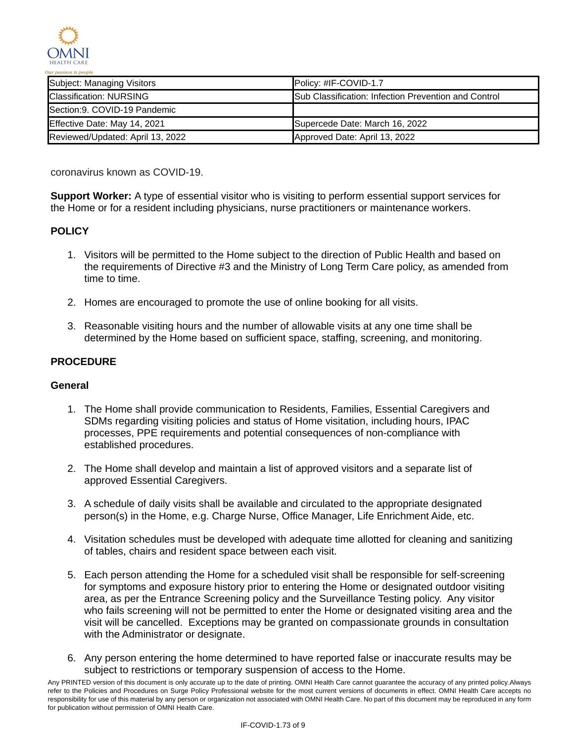

| Subject: Managing Visitors       | <b>IPolicy: #IF-COVID-1.7</b>                                |
|----------------------------------|--------------------------------------------------------------|
| <b>Classification: NURSING</b>   | <b>ISub Classification: Infection Prevention and Control</b> |
| Section: 9. COVID-19 Pandemic    |                                                              |
| Effective Date: May 14, 2021     | Supercede Date: March 16, 2022                               |
| Reviewed/Updated: April 13, 2022 | Approved Date: April 13, 2022                                |

coronavirus known as COVID-19.

**Support Worker:** A type of essential visitor who is visiting to perform essential support services for the Home or for a resident including physicians, nurse practitioners or maintenance workers.

# **POLICY**

- 1. Visitors will be permitted to the Home subject to the direction of Public Health and based on the requirements of Directive #3 and the Ministry of Long Term Care policy, as amended from time to time.
- 2. Homes are encouraged to promote the use of online booking for all visits.
- 3. Reasonable visiting hours and the number of allowable visits at any one time shall be determined by the Home based on sufficient space, staffing, screening, and monitoring.

### **PROCEDURE**

### **General**

- 1. The Home shall provide communication to Residents, Families, Essential Caregivers and SDMs regarding visiting policies and status of Home visitation, including hours, IPAC processes, PPE requirements and potential consequences of non-compliance with established procedures.
- 2. The Home shall develop and maintain a list of approved visitors and a separate list of approved Essential Caregivers.
- 3. A schedule of daily visits shall be available and circulated to the appropriate designated person(s) in the Home, e.g. Charge Nurse, Office Manager, Life Enrichment Aide, etc.
- 4. Visitation schedules must be developed with adequate time allotted for cleaning and sanitizing of tables, chairs and resident space between each visit.
- 5. Each person attending the Home for a scheduled visit shall be responsible for self-screening for symptoms and exposure history prior to entering the Home or designated outdoor visiting area, as per the Entrance Screening policy and the Surveillance Testing policy. Any visitor who fails screening will not be permitted to enter the Home or designated visiting area and the visit will be cancelled. Exceptions may be granted on compassionate grounds in consultation with the Administrator or designate.
- 6. Any person entering the home determined to have reported false or inaccurate results may be subject to restrictions or temporary suspension of access to the Home.

Any PRINTED version of this document is only accurate up to the date of printing. OMNI Health Care cannot guarantee the accuracy of any printed policy.Always refer to the Policies and Procedures on Surge Policy Professional website for the most current versions of documents in effect. OMNI Health Care accepts no responsibility for use of this material by any person or organization not associated with OMNI Health Care. No part of this document may be reproduced in any form for publication without permission of OMNI Health Care.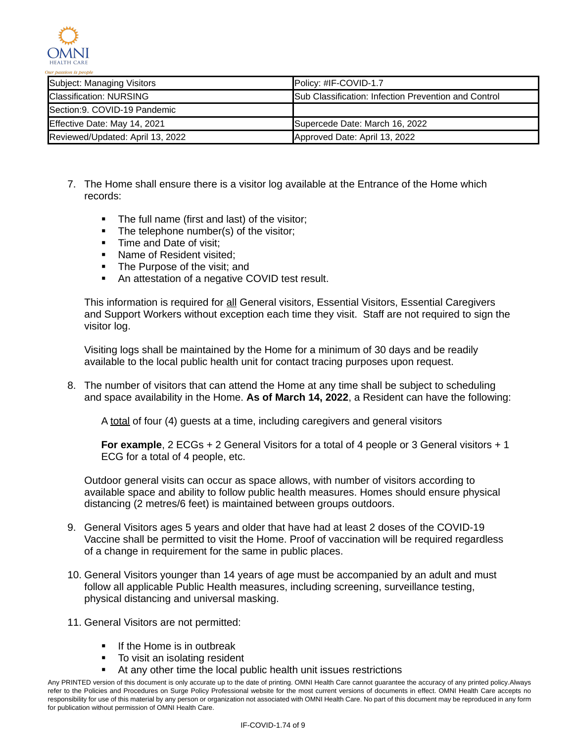

| Subject: Managing Visitors       | Policy: #IF-COVID-1.7                                |
|----------------------------------|------------------------------------------------------|
| <b>Classification: NURSING</b>   | Sub Classification: Infection Prevention and Control |
| Section: 9. COVID-19 Pandemic    |                                                      |
| Effective Date: May 14, 2021     | Supercede Date: March 16, 2022                       |
| Reviewed/Updated: April 13, 2022 | Approved Date: April 13, 2022                        |

- 7. The Home shall ensure there is a visitor log available at the Entrance of the Home which records:
	- The full name (first and last) of the visitor;
	- The telephone number(s) of the visitor;
	- Time and Date of visit:
	- Name of Resident visited:
	- The Purpose of the visit; and
	- An attestation of a negative COVID test result.

This information is required for all General visitors, Essential Visitors, Essential Caregivers and Support Workers without exception each time they visit. Staff are not required to sign the visitor log.

Visiting logs shall be maintained by the Home for a minimum of 30 days and be readily available to the local public health unit for contact tracing purposes upon request.

8. The number of visitors that can attend the Home at any time shall be subject to scheduling and space availability in the Home. **As of March 14, 2022**, a Resident can have the following:

A total of four (4) guests at a time, including caregivers and general visitors

**For example**, 2 ECGs + 2 General Visitors for a total of 4 people or 3 General visitors + 1 ECG for a total of 4 people, etc.

Outdoor general visits can occur as space allows, with number of visitors according to available space and ability to follow public health measures. Homes should ensure physical distancing (2 metres/6 feet) is maintained between groups outdoors.

- 9. General Visitors ages 5 years and older that have had at least 2 doses of the COVID-19 Vaccine shall be permitted to visit the Home. Proof of vaccination will be required regardless of a change in requirement for the same in public places.
- 10. General Visitors younger than 14 years of age must be accompanied by an adult and must follow all applicable Public Health measures, including screening, surveillance testing, physical distancing and universal masking.
- 11. General Visitors are not permitted:
	- If the Home is in outbreak
	- To visit an isolating resident
	- At any other time the local public health unit issues restrictions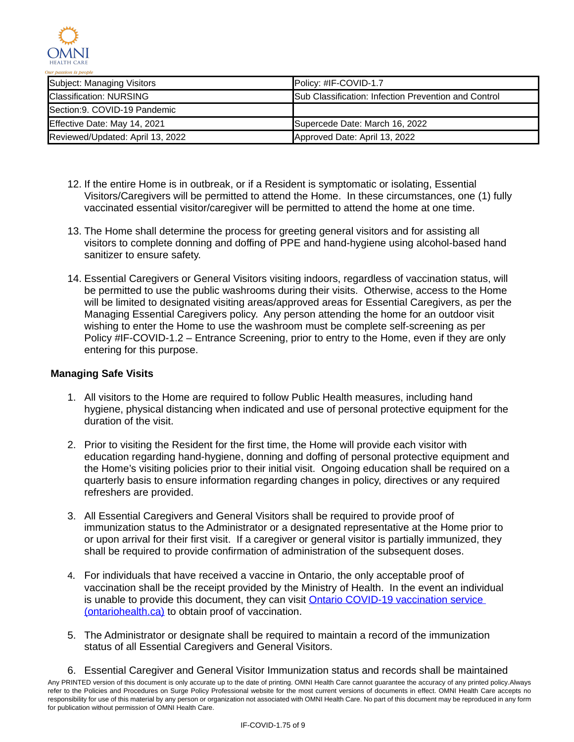

| Subject: Managing Visitors       | <b>IPolicy: #IF-COVID-1.7</b>                                |
|----------------------------------|--------------------------------------------------------------|
| <b>Classification: NURSING</b>   | <b>ISub Classification: Infection Prevention and Control</b> |
| Section: 9. COVID-19 Pandemic    |                                                              |
| Effective Date: May 14, 2021     | Supercede Date: March 16, 2022                               |
| Reviewed/Updated: April 13, 2022 | Approved Date: April 13, 2022                                |

- 12. If the entire Home is in outbreak, or if a Resident is symptomatic or isolating, Essential Visitors/Caregivers will be permitted to attend the Home. In these circumstances, one (1) fully vaccinated essential visitor/caregiver will be permitted to attend the home at one time.
- 13. The Home shall determine the process for greeting general visitors and for assisting all visitors to complete donning and doffing of PPE and hand-hygiene using alcohol-based hand sanitizer to ensure safety.
- 14. Essential Caregivers or General Visitors visiting indoors, regardless of vaccination status, will be permitted to use the public washrooms during their visits. Otherwise, access to the Home will be limited to designated visiting areas/approved areas for Essential Caregivers, as per the Managing Essential Caregivers policy. Any person attending the home for an outdoor visit wishing to enter the Home to use the washroom must be complete self-screening as per Policy #IF-COVID-1.2 – Entrance Screening, prior to entry to the Home, even if they are only entering for this purpose.

## **Managing Safe Visits**

- 1. All visitors to the Home are required to follow Public Health measures, including hand hygiene, physical distancing when indicated and use of personal protective equipment for the duration of the visit.
- 2. Prior to visiting the Resident for the first time, the Home will provide each visitor with education regarding hand-hygiene, donning and doffing of personal protective equipment and the Home's visiting policies prior to their initial visit. Ongoing education shall be required on a quarterly basis to ensure information regarding changes in policy, directives or any required refreshers are provided.
- 3. All Essential Caregivers and General Visitors shall be required to provide proof of immunization status to the Administrator or a designated representative at the Home prior to or upon arrival for their first visit. If a caregiver or general visitor is partially immunized, they shall be required to provide confirmation of administration of the subsequent doses.
- 4. For individuals that have received a vaccine in Ontario, the only acceptable proof of vaccination shall be the receipt provided by the Ministry of Health. In the event an individual is unable to provide this document, they can visit Ontario COVID-19 vaccination service (ontariohealth.ca) to obtain proof of vaccination.
- 5. The Administrator or designate shall be required to maintain a record of the immunization status of all Essential Caregivers and General Visitors.
- 6. Essential Caregiver and General Visitor Immunization status and records shall be maintained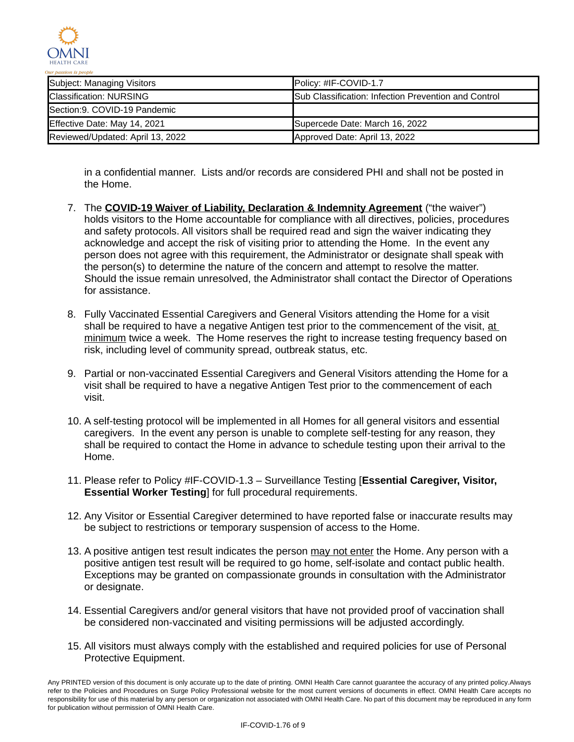

| Subject: Managing Visitors       | Policy: #IF-COVID-1.7                                |
|----------------------------------|------------------------------------------------------|
| <b>Classification: NURSING</b>   | Sub Classification: Infection Prevention and Control |
| Section: 9. COVID-19 Pandemic    |                                                      |
| Effective Date: May 14, 2021     | Supercede Date: March 16, 2022                       |
| Reviewed/Updated: April 13, 2022 | Approved Date: April 13, 2022                        |

in a confidential manner. Lists and/or records are considered PHI and shall not be posted in the Home.

- 7. The **COVID-19 Waiver of Liability, Declaration & Indemnity Agreement** ("the waiver") holds visitors to the Home accountable for compliance with all directives, policies, procedures and safety protocols. All visitors shall be required read and sign the waiver indicating they acknowledge and accept the risk of visiting prior to attending the Home. In the event any person does not agree with this requirement, the Administrator or designate shall speak with the person(s) to determine the nature of the concern and attempt to resolve the matter. Should the issue remain unresolved, the Administrator shall contact the Director of Operations for assistance.
- 8. Fully Vaccinated Essential Caregivers and General Visitors attending the Home for a visit shall be required to have a negative Antigen test prior to the commencement of the visit, at minimum twice a week. The Home reserves the right to increase testing frequency based on risk, including level of community spread, outbreak status, etc.
- 9. Partial or non-vaccinated Essential Caregivers and General Visitors attending the Home for a visit shall be required to have a negative Antigen Test prior to the commencement of each visit.
- 10. A self-testing protocol will be implemented in all Homes for all general visitors and essential caregivers. In the event any person is unable to complete self-testing for any reason, they shall be required to contact the Home in advance to schedule testing upon their arrival to the Home.
- 11. Please refer to Policy #IF-COVID-1.3 Surveillance Testing [**Essential Caregiver, Visitor, Essential Worker Testing**] for full procedural requirements.
- 12. Any Visitor or Essential Caregiver determined to have reported false or inaccurate results may be subject to restrictions or temporary suspension of access to the Home.
- 13. A positive antigen test result indicates the person may not enter the Home. Any person with a positive antigen test result will be required to go home, self-isolate and contact public health. Exceptions may be granted on compassionate grounds in consultation with the Administrator or designate.
- 14. Essential Caregivers and/or general visitors that have not provided proof of vaccination shall be considered non-vaccinated and visiting permissions will be adjusted accordingly.
- 15. All visitors must always comply with the established and required policies for use of Personal Protective Equipment.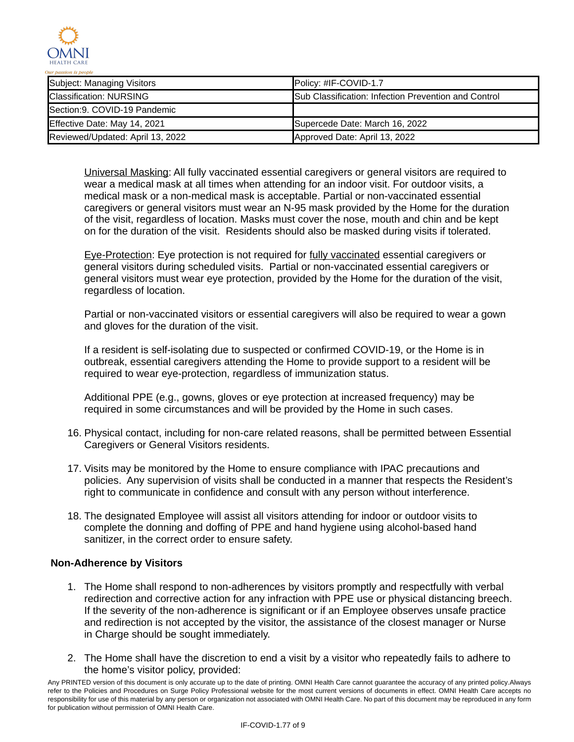

| Subject: Managing Visitors       | Policy: #IF-COVID-1.7                                |
|----------------------------------|------------------------------------------------------|
| <b>Classification: NURSING</b>   | Sub Classification: Infection Prevention and Control |
| Section: 9. COVID-19 Pandemic    |                                                      |
| Effective Date: May 14, 2021     | Supercede Date: March 16, 2022                       |
| Reviewed/Updated: April 13, 2022 | Approved Date: April 13, 2022                        |

Universal Masking: All fully vaccinated essential caregivers or general visitors are required to wear a medical mask at all times when attending for an indoor visit. For outdoor visits, a medical mask or a non-medical mask is acceptable. Partial or non-vaccinated essential caregivers or general visitors must wear an N-95 mask provided by the Home for the duration of the visit, regardless of location. Masks must cover the nose, mouth and chin and be kept on for the duration of the visit. Residents should also be masked during visits if tolerated.

Eye-Protection: Eye protection is not required for fully vaccinated essential caregivers or general visitors during scheduled visits. Partial or non-vaccinated essential caregivers or general visitors must wear eye protection, provided by the Home for the duration of the visit, regardless of location.

Partial or non-vaccinated visitors or essential caregivers will also be required to wear a gown and gloves for the duration of the visit.

If a resident is self-isolating due to suspected or confirmed COVID-19, or the Home is in outbreak, essential caregivers attending the Home to provide support to a resident will be required to wear eye-protection, regardless of immunization status.

Additional PPE (e.g., gowns, gloves or eye protection at increased frequency) may be required in some circumstances and will be provided by the Home in such cases.

- 16. Physical contact, including for non-care related reasons, shall be permitted between Essential Caregivers or General Visitors residents.
- 17. Visits may be monitored by the Home to ensure compliance with IPAC precautions and policies. Any supervision of visits shall be conducted in a manner that respects the Resident's right to communicate in confidence and consult with any person without interference.
- 18. The designated Employee will assist all visitors attending for indoor or outdoor visits to complete the donning and doffing of PPE and hand hygiene using alcohol-based hand sanitizer, in the correct order to ensure safety.

# **Non-Adherence by Visitors**

- 1. The Home shall respond to non-adherences by visitors promptly and respectfully with verbal redirection and corrective action for any infraction with PPE use or physical distancing breech. If the severity of the non-adherence is significant or if an Employee observes unsafe practice and redirection is not accepted by the visitor, the assistance of the closest manager or Nurse in Charge should be sought immediately.
- 2. The Home shall have the discretion to end a visit by a visitor who repeatedly fails to adhere to the home's visitor policy, provided:

Any PRINTED version of this document is only accurate up to the date of printing. OMNI Health Care cannot guarantee the accuracy of any printed policy.Always refer to the Policies and Procedures on Surge Policy Professional website for the most current versions of documents in effect. OMNI Health Care accepts no responsibility for use of this material by any person or organization not associated with OMNI Health Care. No part of this document may be reproduced in any form for publication without permission of OMNI Health Care.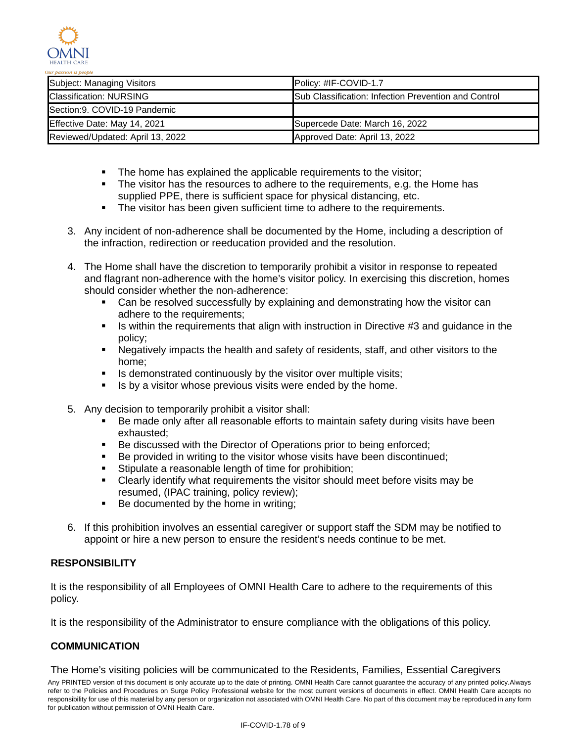

| Subject: Managing Visitors       | Policy: #IF-COVID-1.7                                        |
|----------------------------------|--------------------------------------------------------------|
| <b>Classification: NURSING</b>   | <b>ISub Classification: Infection Prevention and Control</b> |
| Section: 9. COVID-19 Pandemic    |                                                              |
| Effective Date: May 14, 2021     | Supercede Date: March 16, 2022                               |
| Reviewed/Updated: April 13, 2022 | Approved Date: April 13, 2022                                |

- The home has explained the applicable requirements to the visitor;
- The visitor has the resources to adhere to the requirements, e.g. the Home has supplied PPE, there is sufficient space for physical distancing, etc.
- The visitor has been given sufficient time to adhere to the requirements.
- 3. Any incident of non-adherence shall be documented by the Home, including a description of the infraction, redirection or reeducation provided and the resolution.
- 4. The Home shall have the discretion to temporarily prohibit a visitor in response to repeated and flagrant non-adherence with the home's visitor policy. In exercising this discretion, homes should consider whether the non-adherence:
	- Can be resolved successfully by explaining and demonstrating how the visitor can adhere to the requirements;
	- Is within the requirements that align with instruction in Directive  $#3$  and guidance in the policy;
	- Negatively impacts the health and safety of residents, staff, and other visitors to the home;
	- **IF** Is demonstrated continuously by the visitor over multiple visits;
	- $\blacksquare$  Is by a visitor whose previous visits were ended by the home.
- 5. Any decision to temporarily prohibit a visitor shall:
	- Be made only after all reasonable efforts to maintain safety during visits have been exhausted;
	- Be discussed with the Director of Operations prior to being enforced;
	- Be provided in writing to the visitor whose visits have been discontinued;
	- **Stipulate a reasonable length of time for prohibition;**
	- Clearly identify what requirements the visitor should meet before visits may be resumed, (IPAC training, policy review);
	- Be documented by the home in writing;
- 6. If this prohibition involves an essential caregiver or support staff the SDM may be notified to appoint or hire a new person to ensure the resident's needs continue to be met.

# **RESPONSIBILITY**

It is the responsibility of all Employees of OMNI Health Care to adhere to the requirements of this policy.

It is the responsibility of the Administrator to ensure compliance with the obligations of this policy.

# **COMMUNICATION**

The Home's visiting policies will be communicated to the Residents, Families, Essential Caregivers